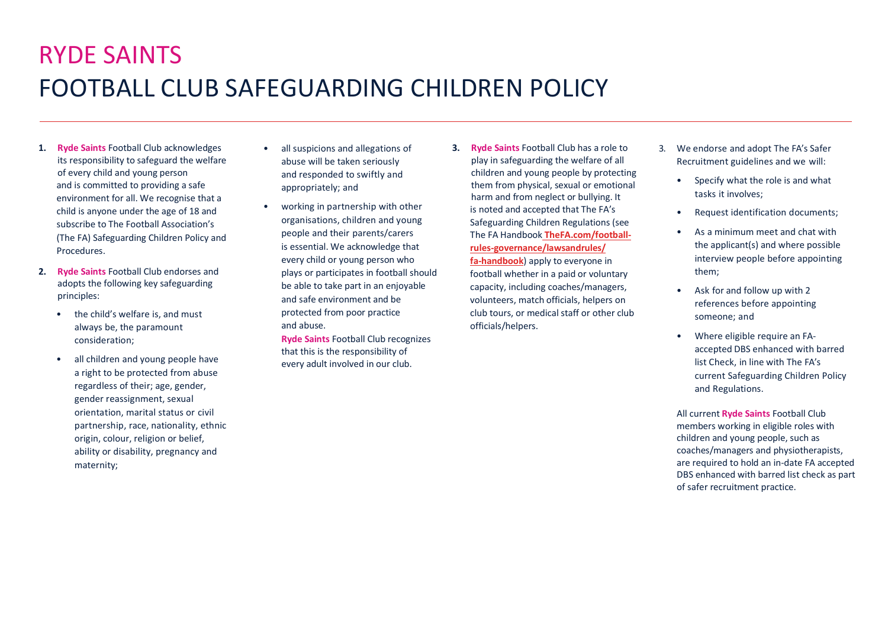## RYDE SAINTS FOOTBALL CLUB SAFEGUARDING CHILDREN POLICY

- **1. Ryde Saints** Football Club acknowledges its responsibility to safeguard the welfare of every child and young person and is committed to providing a safe environment for all. We recognise that a child is anyone under the age of 18 and subscribe to The Football Association's (The FA) Safeguarding Children Policy and Procedures.
- **2. Ryde Saints** Football Club endorses and adopts the following key safeguarding principles:
	- the child's welfare is, and must always be, the paramount consideration;
	- all children and young people have a right to be protected from abuse regardless of their; age, gender, gender reassignment, sexual orientation, marital status or civil partnership, race, nationality, ethnic origin, colour, religion or belief, ability or disability, pregnancy and maternity;
- all suspicions and allegations of abuse will be taken seriously and responded to swiftly and appropriately; and
- working in partnership with other organisations, children and young people and their parents/carers is essential. We acknowledge that every child or young person who plays or participates in football should be able to take part in an enjoyable and safe environment and be protected from poor practice and abuse.

**Ryde Saints** Football Club recognizes that this is the responsibility of every adult involved in our club.

**3. Ryde Saints** Football Club has a role to play in safeguarding the welfare of all children and young people by protecting them from physical, sexual or emotional harm and from neglect or bullying. It is noted and accepted that The FA's Safeguarding Children Regulations (see The FA Handbook **TheFA.com/footballrules-governance/lawsandrules/ fa-handbook**) apply to everyone in

football whether in a paid or voluntary capacity, including coaches/managers, volunteers, match officials, helpers on club tours, or medical staff or other club officials/helpers.

- 3. We endorse and adopt The FA's Safer Recruitment guidelines and we will:
	- Specify what the role is and what tasks it involves;
	- Request identification documents;
	- As a minimum meet and chat with the applicant(s) and where possible interview people before appointing them;
	- Ask for and follow up with 2 references before appointing someone; and
	- Where eligible require an FAaccepted DBS enhanced with barred list Check, in line with The FA's current Safeguarding Children Policy and Regulations.

All current **Ryde Saints** Football Club members working in eligible roles with children and young people, such as coaches/managers and physiotherapists, are required to hold an in-date FA accepted DBS enhanced with barred list check as part of safer recruitment practice.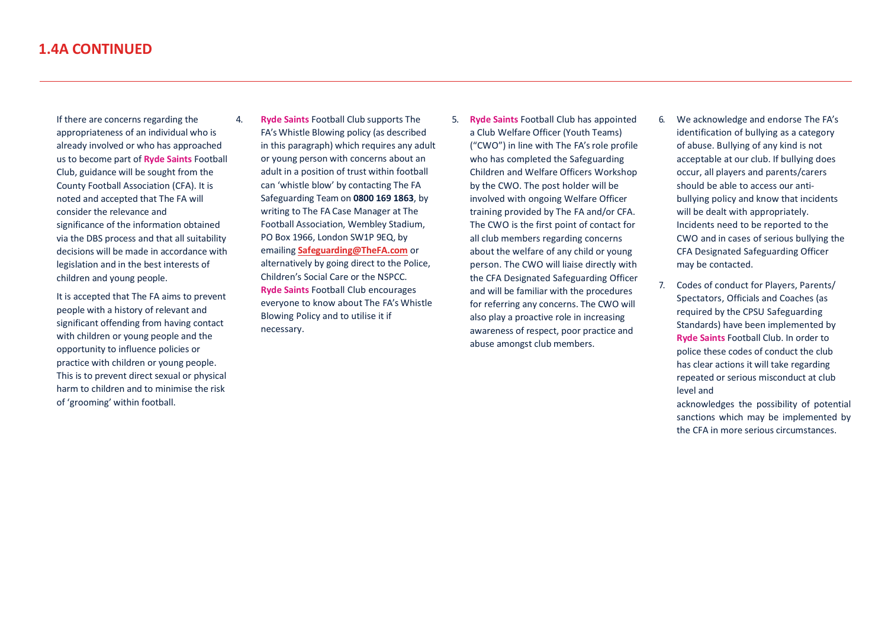If there are concerns regarding the appropriateness of an individual who is already involved or who has approached us to become part of **Ryde Saints** Football Club, guidance will be sought from the County Football Association (CFA). It is noted and accepted that The FA will consider the relevance and significance of the information obtained via the DBS process and that all suitability decisions will be made in accordance with legislation and in the best interests of children and young people.

It is accepted that The FA aims to prevent people with a history of relevant and significant offending from having contact with children or young people and the opportunity to influence policies or practice with children or young people. This is to prevent direct sexual or physical harm to children and to minimise the risk of 'grooming' within football.

- 4. **Ryde Saints** Football Club supports The FA's Whistle Blowing policy (as described in this paragraph) which requires any adult or young person with concerns about an adult in a position of trust within football can 'whistle blow' by contacting The FA Safeguarding Team on **0800 169 1863**, by writing to The FA Case Manager at The Football Association, Wembley Stadium, PO Box 1966, London SW1P 9EQ, by emailing **Safeguarding@TheFA.com** or alternatively by going direct to the Police, Children's Social Care or the NSPCC. **Ryde Saints** Football Club encourages everyone to know about The FA's Whistle Blowing Policy and to utilise it if necessary.
- 5. **Ryde Saints** Football Club has appointed a Club Welfare Officer (Youth Teams) ("CWO") in line with The FA's role profile who has completed the Safeguarding Children and Welfare Officers Workshop by the CWO. The post holder will be involved with ongoing Welfare Officer training provided by The FA and/or CFA. The CWO is the first point of contact for all club members regarding concerns about the welfare of any child or young person. The CWO will liaise directly with the CFA Designated Safeguarding Officer and will be familiar with the procedures for referring any concerns. The CWO will also play a proactive role in increasing awareness of respect, poor practice and abuse amongst club members.
- 6. We acknowledge and endorse The FA's identification of bullying as a category of abuse. Bullying of any kind is not acceptable at our club. If bullying does occur, all players and parents/carers should be able to access our antibullying policy and know that incidents will be dealt with appropriately. Incidents need to be reported to the CWO and in cases of serious bullying the CFA Designated Safeguarding Officer may be contacted.
- 7. Codes of conduct for Players, Parents/ Spectators, Officials and Coaches (as required by the CPSU Safeguarding Standards) have been implemented by **Ryde Saints** Football Club. In order to police these codes of conduct the club has clear actions it will take regarding repeated or serious misconduct at club level and

acknowledges the possibility of potential sanctions which may be implemented by the CFA in more serious circumstances.